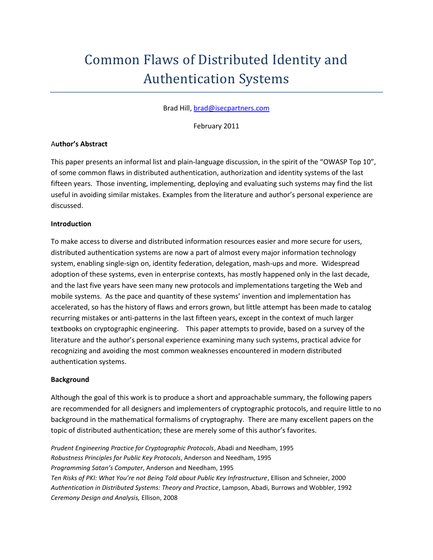## Common Flaws of Distributed Identity and Authentication Systems

Brad Hill, [brad@isecpartners.com](mailto:brad@isecpartners.com)

February 2011

#### A**uthor's Abstract**

This paper presents an informal list and plain-language discussion, in the spirit of the "OWASP Top 10", of some common flaws in distributed authentication, authorization and identity systems of the last fifteen years. Those inventing, implementing, deploying and evaluating such systems may find the list useful in avoiding similar mistakes. Examples from the literature and author's personal experience are discussed.

#### **Introduction**

To make access to diverse and distributed information resources easier and more secure for users, distributed authentication systems are now a part of almost every major information technology system, enabling single-sign on, identity federation, delegation, mash-ups and more. Widespread adoption of these systems, even in enterprise contexts, has mostly happened only in the last decade, and the last five years have seen many new protocols and implementations targeting the Web and mobile systems. As the pace and quantity of these systems' invention and implementation has accelerated, so has the history of flaws and errors grown, but little attempt has been made to catalog recurring mistakes or anti-patterns in the last fifteen years, except in the context of much larger textbooks on cryptographic engineering. This paper attempts to provide, based on a survey of the literature and the author's personal experience examining many such systems, practical advice for recognizing and avoiding the most common weaknesses encountered in modern distributed authentication systems.

#### **Background**

Although the goal of this work is to produce a short and approachable summary, the following papers are recommended for all designers and implementers of cryptographic protocols, and require little to no background in the mathematical formalisms of cryptography. There are many excellent papers on the topic of distributed authentication; these are merely some of this author's favorites.

*Prudent Engineering Practice for Cryptographic Protocols*, Abadi and Needham, 1995 *Robustness Principles for Public Key Protocols*, Anderson and Needham, 1995 *Programming Satan's Computer*, Anderson and Needham, 1995 *Ten Risks of PKI: What You're not Being Told about Public Key Infrastructure*, Ellison and Schneier, 2000 *Authentication in Distributed Systems: Theory and Practice*, Lampson, Abadi, Burrows and Wobbler, 1992 *Ceremony Design and Analysis,* Ellison, 2008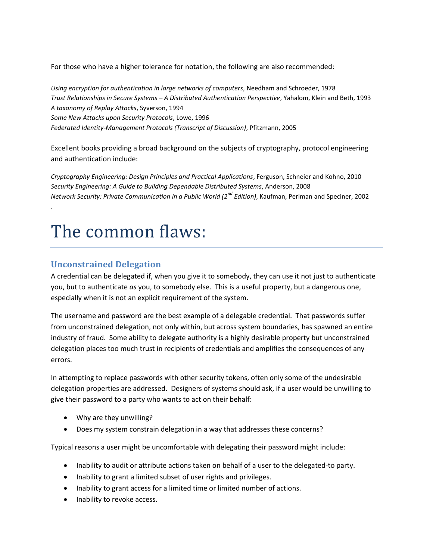For those who have a higher tolerance for notation, the following are also recommended:

*Using encryption for authentication in large networks of computers*, Needham and Schroeder, 1978 *Trust Relationships in Secure Systems – A Distributed Authentication Perspective*, Yahalom, Klein and Beth, 1993 *A taxonomy of Replay Attacks*, Syverson, 1994 *Some New Attacks upon Security Protocols*, Lowe, 1996 *Federated Identity-Management Protocols (Transcript of Discussion)*, Pfitzmann, 2005

Excellent books providing a broad background on the subjects of cryptography, protocol engineering and authentication include:

*Cryptography Engineering: Design Principles and Practical Applications*, Ferguson, Schneier and Kohno, 2010 *Security Engineering: A Guide to Building Dependable Distributed Systems*, Anderson, 2008 *Network Security: Private Communication in a Public World (2<sup>nd</sup> Edition)*, Kaufman, Perlman and Speciner, 2002

# The common flaws:

#### **Unconstrained Delegation**

.

A credential can be delegated if, when you give it to somebody, they can use it not just to authenticate you, but to authenticate *as* you, to somebody else. This is a useful property, but a dangerous one, especially when it is not an explicit requirement of the system.

The username and password are the best example of a delegable credential. That passwords suffer from unconstrained delegation, not only within, but across system boundaries, has spawned an entire industry of fraud. Some ability to delegate authority is a highly desirable property but unconstrained delegation places too much trust in recipients of credentials and amplifies the consequences of any errors.

In attempting to replace passwords with other security tokens, often only some of the undesirable delegation properties are addressed. Designers of systems should ask, if a user would be unwilling to give their password to a party who wants to act on their behalf:

- Why are they unwilling?
- Does my system constrain delegation in a way that addresses these concerns?

Typical reasons a user might be uncomfortable with delegating their password might include:

- Inability to audit or attribute actions taken on behalf of a user to the delegated-to party.
- Inability to grant a limited subset of user rights and privileges.
- Inability to grant access for a limited time or limited number of actions.
- Inability to revoke access.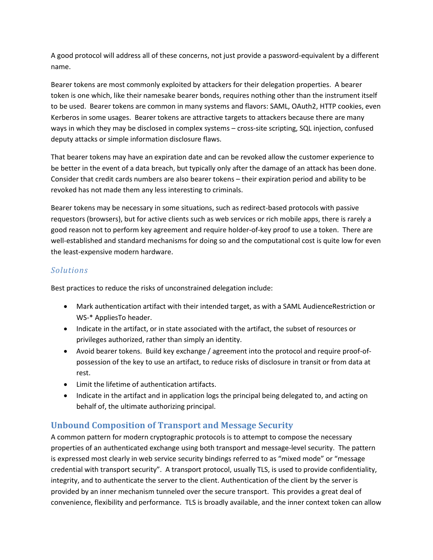A good protocol will address all of these concerns, not just provide a password-equivalent by a different name.

Bearer tokens are most commonly exploited by attackers for their delegation properties. A bearer token is one which, like their namesake bearer bonds, requires nothing other than the instrument itself to be used. Bearer tokens are common in many systems and flavors: SAML, OAuth2, HTTP cookies, even Kerberos in some usages. Bearer tokens are attractive targets to attackers because there are many ways in which they may be disclosed in complex systems – cross-site scripting, SQL injection, confused deputy attacks or simple information disclosure flaws.

That bearer tokens may have an expiration date and can be revoked allow the customer experience to be better in the event of a data breach, but typically only after the damage of an attack has been done. Consider that credit cards numbers are also bearer tokens – their expiration period and ability to be revoked has not made them any less interesting to criminals.

Bearer tokens may be necessary in some situations, such as redirect-based protocols with passive requestors (browsers), but for active clients such as web services or rich mobile apps, there is rarely a good reason not to perform key agreement and require holder-of-key proof to use a token. There are well-established and standard mechanisms for doing so and the computational cost is quite low for even the least-expensive modern hardware.

#### *Solutions*

Best practices to reduce the risks of unconstrained delegation include:

- Mark authentication artifact with their intended target, as with a SAML AudienceRestriction or WS-\* AppliesTo header.
- Indicate in the artifact, or in state associated with the artifact, the subset of resources or privileges authorized, rather than simply an identity.
- Avoid bearer tokens. Build key exchange / agreement into the protocol and require proof-ofpossession of the key to use an artifact, to reduce risks of disclosure in transit or from data at rest.
- Limit the lifetime of authentication artifacts.
- Indicate in the artifact and in application logs the principal being delegated to, and acting on behalf of, the ultimate authorizing principal.

## **Unbound Composition of Transport and Message Security**

A common pattern for modern cryptographic protocols is to attempt to compose the necessary properties of an authenticated exchange using both transport and message-level security. The pattern is expressed most clearly in web service security bindings referred to as "mixed mode" or "message credential with transport security". A transport protocol, usually TLS, is used to provide confidentiality, integrity, and to authenticate the server to the client. Authentication of the client by the server is provided by an inner mechanism tunneled over the secure transport. This provides a great deal of convenience, flexibility and performance. TLS is broadly available, and the inner context token can allow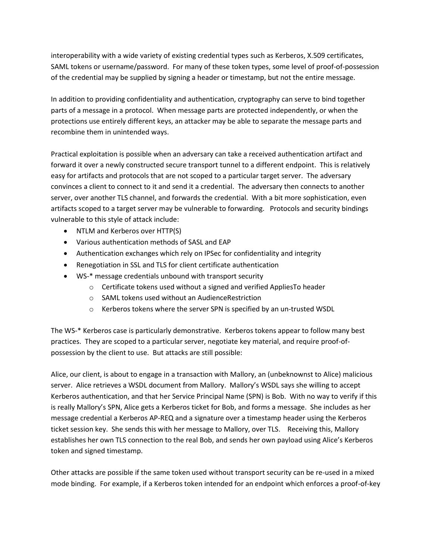interoperability with a wide variety of existing credential types such as Kerberos, X.509 certificates, SAML tokens or username/password. For many of these token types, some level of proof-of-possession of the credential may be supplied by signing a header or timestamp, but not the entire message.

In addition to providing confidentiality and authentication, cryptography can serve to bind together parts of a message in a protocol. When message parts are protected independently, or when the protections use entirely different keys, an attacker may be able to separate the message parts and recombine them in unintended ways.

Practical exploitation is possible when an adversary can take a received authentication artifact and forward it over a newly constructed secure transport tunnel to a different endpoint. This is relatively easy for artifacts and protocols that are not scoped to a particular target server. The adversary convinces a client to connect to it and send it a credential. The adversary then connects to another server, over another TLS channel, and forwards the credential. With a bit more sophistication, even artifacts scoped to a target server may be vulnerable to forwarding. Protocols and security bindings vulnerable to this style of attack include:

- NTLM and Kerberos over HTTP(S)
- Various authentication methods of SASL and EAP
- Authentication exchanges which rely on IPSec for confidentiality and integrity
- Renegotiation in SSL and TLS for client certificate authentication
- WS-\* message credentials unbound with transport security
	- o Certificate tokens used without a signed and verified AppliesTo header
	- o SAML tokens used without an AudienceRestriction
	- o Kerberos tokens where the server SPN is specified by an un-trusted WSDL

The WS-\* Kerberos case is particularly demonstrative. Kerberos tokens appear to follow many best practices. They are scoped to a particular server, negotiate key material, and require proof-ofpossession by the client to use. But attacks are still possible:

Alice, our client, is about to engage in a transaction with Mallory, an (unbeknownst to Alice) malicious server. Alice retrieves a WSDL document from Mallory. Mallory's WSDL says she willing to accept Kerberos authentication, and that her Service Principal Name (SPN) is Bob. With no way to verify if this is really Mallory's SPN, Alice gets a Kerberos ticket for Bob, and forms a message. She includes as her message credential a Kerberos AP-REQ and a signature over a timestamp header using the Kerberos ticket session key. She sends this with her message to Mallory, over TLS. Receiving this, Mallory establishes her own TLS connection to the real Bob, and sends her own payload using Alice's Kerberos token and signed timestamp.

Other attacks are possible if the same token used without transport security can be re-used in a mixed mode binding. For example, if a Kerberos token intended for an endpoint which enforces a proof-of-key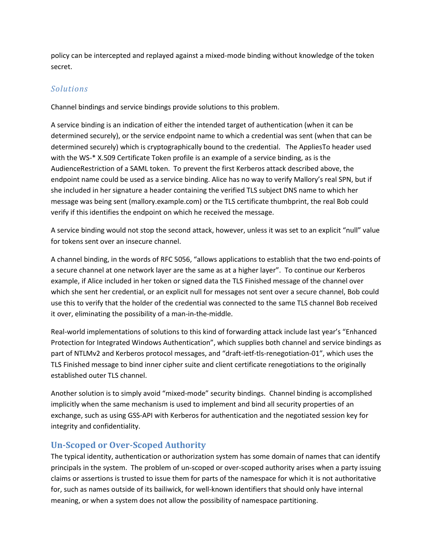policy can be intercepted and replayed against a mixed-mode binding without knowledge of the token secret.

#### *Solutions*

Channel bindings and service bindings provide solutions to this problem.

A service binding is an indication of either the intended target of authentication (when it can be determined securely), or the service endpoint name to which a credential was sent (when that can be determined securely) which is cryptographically bound to the credential. The AppliesTo header used with the WS-\* X.509 Certificate Token profile is an example of a service binding, as is the AudienceRestriction of a SAML token. To prevent the first Kerberos attack described above, the endpoint name could be used as a service binding. Alice has no way to verify Mallory's real SPN, but if she included in her signature a header containing the verified TLS subject DNS name to which her message was being sent (mallory.example.com) or the TLS certificate thumbprint, the real Bob could verify if this identifies the endpoint on which he received the message.

A service binding would not stop the second attack, however, unless it was set to an explicit "null" value for tokens sent over an insecure channel.

A channel binding, in the words of RFC 5056, "allows applications to establish that the two end-points of a secure channel at one network layer are the same as at a higher layer". To continue our Kerberos example, if Alice included in her token or signed data the TLS Finished message of the channel over which she sent her credential, or an explicit null for messages not sent over a secure channel, Bob could use this to verify that the holder of the credential was connected to the same TLS channel Bob received it over, eliminating the possibility of a man-in-the-middle.

Real-world implementations of solutions to this kind of forwarding attack include last year's "Enhanced Protection for Integrated Windows Authentication", which supplies both channel and service bindings as part of NTLMv2 and Kerberos protocol messages, and "draft-ietf-tls-renegotiation-01", which uses the TLS Finished message to bind inner cipher suite and client certificate renegotiations to the originally established outer TLS channel.

Another solution is to simply avoid "mixed-mode" security bindings. Channel binding is accomplished implicitly when the same mechanism is used to implement and bind all security properties of an exchange, such as using GSS-API with Kerberos for authentication and the negotiated session key for integrity and confidentiality.

## **Un-Scoped or Over-Scoped Authority**

The typical identity, authentication or authorization system has some domain of names that can identify principals in the system. The problem of un-scoped or over-scoped authority arises when a party issuing claims or assertions is trusted to issue them for parts of the namespace for which it is not authoritative for, such as names outside of its bailiwick, for well-known identifiers that should only have internal meaning, or when a system does not allow the possibility of namespace partitioning.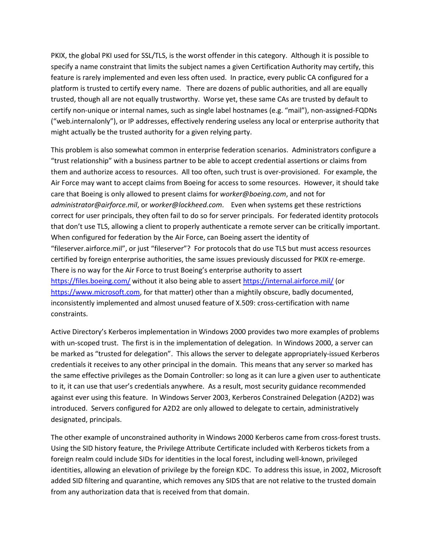PKIX, the global PKI used for SSL/TLS, is the worst offender in this category. Although it is possible to specify a name constraint that limits the subject names a given Certification Authority may certify, this feature is rarely implemented and even less often used. In practice, every public CA configured for a platform is trusted to certify every name. There are dozens of public authorities, and all are equally trusted, though all are not equally trustworthy. Worse yet, these same CAs are trusted by default to certify non-unique or internal names, such as single label hostnames (e.g. "mail"), non-assigned-FQDNs ("web.internalonly"), or IP addresses, effectively rendering useless any local or enterprise authority that might actually be the trusted authority for a given relying party.

This problem is also somewhat common in enterprise federation scenarios. Administrators configure a "trust relationship" with a business partner to be able to accept credential assertions or claims from them and authorize access to resources. All too often, such trust is over-provisioned. For example, the Air Force may want to accept claims from Boeing for access to some resources. However, it should take care that Boeing is only allowed to present claims for *worker@boeing.com*, and not for *administrator@airforce.mil*, or *worker@lockheed.com*. Even when systems get these restrictions correct for user principals, they often fail to do so for server principals. For federated identity protocols that don't use TLS, allowing a client to properly authenticate a remote server can be critically important. When configured for federation by the Air Force, can Boeing assert the identity of "fileserver.airforce.mil", or just "fileserver"? For protocols that do use TLS but must access resources certified by foreign enterprise authorities, the same issues previously discussed for PKIX re-emerge. There is no way for the Air Force to trust Boeing's enterprise authority to assert <https://files.boeing.com/> without it also being able to asser[t https://internal.airforce.mil/](https://internal.airforce.mil/) (or [https://www.microsoft.com,](https://www.microsoft.com/) for that matter) other than a mightily obscure, badly documented, inconsistently implemented and almost unused feature of X.509: cross-certification with name constraints.

Active Directory's Kerberos implementation in Windows 2000 provides two more examples of problems with un-scoped trust. The first is in the implementation of delegation. In Windows 2000, a server can be marked as "trusted for delegation". This allows the server to delegate appropriately-issued Kerberos credentials it receives to any other principal in the domain. This means that any server so marked has the same effective privileges as the Domain Controller: so long as it can lure a given user to authenticate to it, it can use that user's credentials anywhere. As a result, most security guidance recommended against ever using this feature. In Windows Server 2003, Kerberos Constrained Delegation (A2D2) was introduced. Servers configured for A2D2 are only allowed to delegate to certain, administratively designated, principals.

The other example of unconstrained authority in Windows 2000 Kerberos came from cross-forest trusts. Using the SID history feature, the Privilege Attribute Certificate included with Kerberos tickets from a foreign realm could include SIDs for identities in the local forest, including well-known, privileged identities, allowing an elevation of privilege by the foreign KDC. To address this issue, in 2002, Microsoft added SID filtering and quarantine, which removes any SIDS that are not relative to the trusted domain from any authorization data that is received from that domain.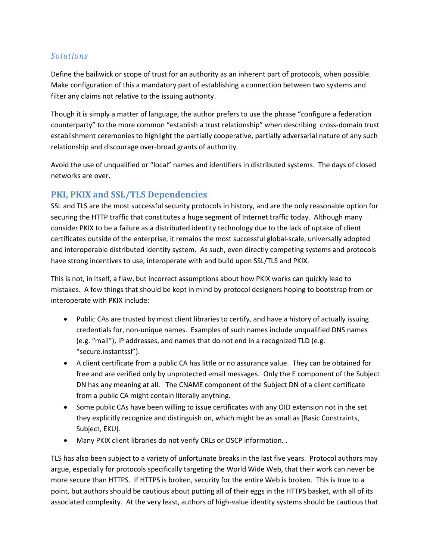#### *Solutions*

Define the bailiwick or scope of trust for an authority as an inherent part of protocols, when possible. Make configuration of this a mandatory part of establishing a connection between two systems and filter any claims not relative to the issuing authority.

Though it is simply a matter of language, the author prefers to use the phrase "configure a federation counterparty" to the more common "establish a trust relationship" when describing cross-domain trust establishment ceremonies to highlight the partially cooperative, partially adversarial nature of any such relationship and discourage over-broad grants of authority.

Avoid the use of unqualified or "local" names and identifiers in distributed systems. The days of closed networks are over.

## **PKI, PKIX and SSL/TLS Dependencies**

SSL and TLS are the most successful security protocols in history, and are the only reasonable option for securing the HTTP traffic that constitutes a huge segment of Internet traffic today. Although many consider PKIX to be a failure as a distributed identity technology due to the lack of uptake of client certificates outside of the enterprise, it remains the most successful global-scale, universally adopted and interoperable distributed identity system. As such, even directly competing systems and protocols have strong incentives to use, interoperate with and build upon SSL/TLS and PKIX.

This is not, in itself, a flaw, but incorrect assumptions about how PKIX works can quickly lead to mistakes. A few things that should be kept in mind by protocol designers hoping to bootstrap from or interoperate with PKIX include:

- Public CAs are trusted by most client libraries to certify, and have a history of actually issuing credentials for, non-unique names. Examples of such names include unqualified DNS names (e.g. "mail"), IP addresses, and names that do not end in a recognized TLD (e.g. "secure.instantssl").
- A client certificate from a public CA has little or no assurance value. They can be obtained for free and are verified only by unprotected email messages. Only the E component of the Subject DN has any meaning at all. The CNAME component of the Subject DN of a client certificate from a public CA might contain literally anything.
- Some public CAs have been willing to issue certificates with any OID extension not in the set they explicitly recognize and distinguish on, which might be as small as [Basic Constraints, Subject, EKU].
- Many PKIX client libraries do not verify CRLs or OSCP information. .

TLS has also been subject to a variety of unfortunate breaks in the last five years. Protocol authors may argue, especially for protocols specifically targeting the World Wide Web, that their work can never be more secure than HTTPS. If HTTPS is broken, security for the entire Web is broken. This is true to a point, but authors should be cautious about putting all of their eggs in the HTTPS basket, with all of its associated complexity. At the very least, authors of high-value identity systems should be cautious that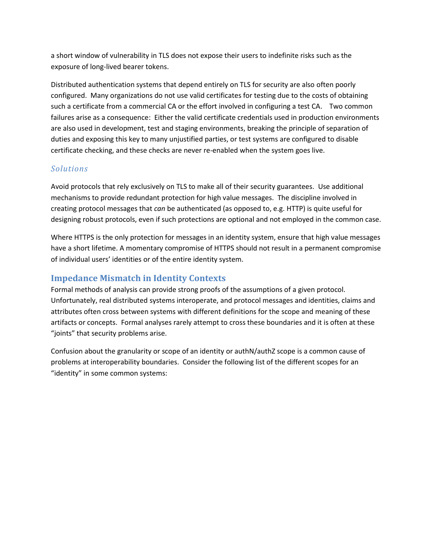a short window of vulnerability in TLS does not expose their users to indefinite risks such as the exposure of long-lived bearer tokens.

Distributed authentication systems that depend entirely on TLS for security are also often poorly configured. Many organizations do not use valid certificates for testing due to the costs of obtaining such a certificate from a commercial CA or the effort involved in configuring a test CA. Two common failures arise as a consequence: Either the valid certificate credentials used in production environments are also used in development, test and staging environments, breaking the principle of separation of duties and exposing this key to many unjustified parties, or test systems are configured to disable certificate checking, and these checks are never re-enabled when the system goes live.

#### *Solutions*

Avoid protocols that rely exclusively on TLS to make all of their security guarantees. Use additional mechanisms to provide redundant protection for high value messages. The discipline involved in creating protocol messages that *can* be authenticated (as opposed to, e.g. HTTP) is quite useful for designing robust protocols, even if such protections are optional and not employed in the common case.

Where HTTPS is the only protection for messages in an identity system, ensure that high value messages have a short lifetime. A momentary compromise of HTTPS should not result in a permanent compromise of individual users' identities or of the entire identity system.

## **Impedance Mismatch in Identity Contexts**

Formal methods of analysis can provide strong proofs of the assumptions of a given protocol. Unfortunately, real distributed systems interoperate, and protocol messages and identities, claims and attributes often cross between systems with different definitions for the scope and meaning of these artifacts or concepts. Formal analyses rarely attempt to cross these boundaries and it is often at these "joints" that security problems arise.

Confusion about the granularity or scope of an identity or authN/authZ scope is a common cause of problems at interoperability boundaries. Consider the following list of the different scopes for an "identity" in some common systems: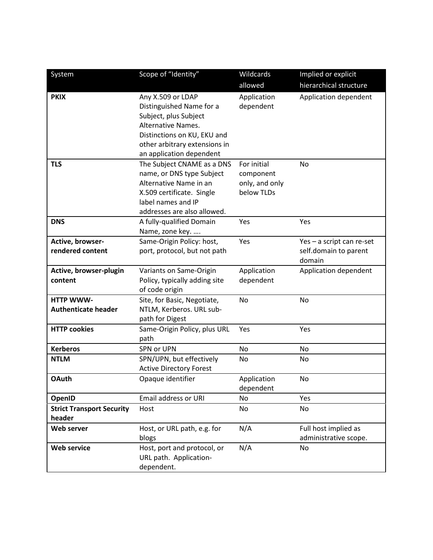| System                           | Scope of "Identity"            | Wildcards      | Implied or explicit       |
|----------------------------------|--------------------------------|----------------|---------------------------|
|                                  |                                | allowed        | hierarchical structure    |
| <b>PKIX</b>                      | Any X.509 or LDAP              | Application    | Application dependent     |
|                                  | Distinguished Name for a       | dependent      |                           |
|                                  | Subject, plus Subject          |                |                           |
|                                  | Alternative Names.             |                |                           |
|                                  | Distinctions on KU, EKU and    |                |                           |
|                                  | other arbitrary extensions in  |                |                           |
|                                  | an application dependent       |                |                           |
| <b>TLS</b>                       | The Subject CNAME as a DNS     | For initial    | <b>No</b>                 |
|                                  | name, or DNS type Subject      | component      |                           |
|                                  | Alternative Name in an         | only, and only |                           |
|                                  | X.509 certificate. Single      | below TLDs     |                           |
|                                  | label names and IP             |                |                           |
|                                  | addresses are also allowed.    |                |                           |
| <b>DNS</b>                       | A fully-qualified Domain       | Yes            | Yes                       |
|                                  | Name, zone key.                |                |                           |
| Active, browser-                 | Same-Origin Policy: host,      | Yes            | Yes - a script can re-set |
| rendered content                 | port, protocol, but not path   |                | self.domain to parent     |
|                                  |                                |                | domain                    |
| Active, browser-plugin           | Variants on Same-Origin        | Application    | Application dependent     |
| content                          | Policy, typically adding site  | dependent      |                           |
|                                  | of code origin                 |                |                           |
| <b>HTTP WWW-</b>                 | Site, for Basic, Negotiate,    | <b>No</b>      | No                        |
| <b>Authenticate header</b>       | NTLM, Kerberos. URL sub-       |                |                           |
|                                  | path for Digest                |                |                           |
| <b>HTTP cookies</b>              | Same-Origin Policy, plus URL   | Yes            | Yes                       |
|                                  | path                           |                |                           |
| <b>Kerberos</b>                  | SPN or UPN                     | No             | No                        |
| <b>NTLM</b>                      | SPN/UPN, but effectively       | No             | No                        |
|                                  | <b>Active Directory Forest</b> |                |                           |
| <b>OAuth</b>                     | Opaque identifier              | Application    | No                        |
|                                  |                                | dependent      |                           |
| OpenID                           | Email address or URI           | No             | Yes                       |
| <b>Strict Transport Security</b> | Host                           | No             | No                        |
| header                           |                                |                |                           |
| Web server                       | Host, or URL path, e.g. for    | N/A            | Full host implied as      |
|                                  | blogs                          |                | administrative scope.     |
| <b>Web service</b>               | Host, port and protocol, or    | N/A            | No                        |
|                                  | URL path. Application-         |                |                           |
|                                  | dependent.                     |                |                           |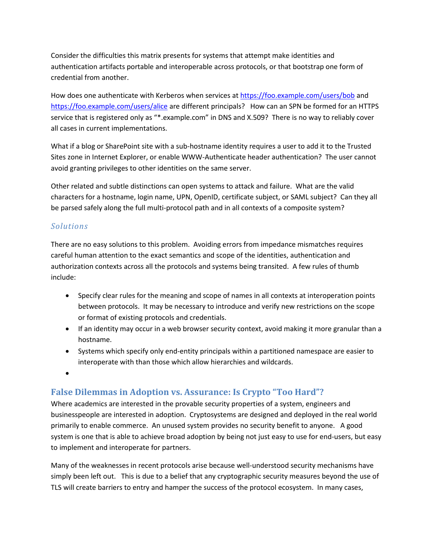Consider the difficulties this matrix presents for systems that attempt make identities and authentication artifacts portable and interoperable across protocols, or that bootstrap one form of credential from another.

How does one authenticate with Kerberos when services at<https://foo.example.com/users/bob> and <https://foo.example.com/users/alice> are different principals? How can an SPN be formed for an HTTPS service that is registered only as "\*.example.com" in DNS and X.509? There is no way to reliably cover all cases in current implementations.

What if a blog or SharePoint site with a sub-hostname identity requires a user to add it to the Trusted Sites zone in Internet Explorer, or enable WWW-Authenticate header authentication? The user cannot avoid granting privileges to other identities on the same server.

Other related and subtle distinctions can open systems to attack and failure. What are the valid characters for a hostname, login name, UPN, OpenID, certificate subject, or SAML subject? Can they all be parsed safely along the full multi-protocol path and in all contexts of a composite system?

#### *Solutions*

There are no easy solutions to this problem. Avoiding errors from impedance mismatches requires careful human attention to the exact semantics and scope of the identities, authentication and authorization contexts across all the protocols and systems being transited. A few rules of thumb include:

- Specify clear rules for the meaning and scope of names in all contexts at interoperation points between protocols. It may be necessary to introduce and verify new restrictions on the scope or format of existing protocols and credentials.
- If an identity may occur in a web browser security context, avoid making it more granular than a hostname.
- Systems which specify only end-entity principals within a partitioned namespace are easier to interoperate with than those which allow hierarchies and wildcards.
- $\bullet$

## **False Dilemmas in Adoption vs. Assurance: Is Crypto "Too Hard"?**

Where academics are interested in the provable security properties of a system, engineers and businesspeople are interested in adoption. Cryptosystems are designed and deployed in the real world primarily to enable commerce. An unused system provides no security benefit to anyone. A good system is one that is able to achieve broad adoption by being not just easy to use for end-users, but easy to implement and interoperate for partners.

Many of the weaknesses in recent protocols arise because well-understood security mechanisms have simply been left out. This is due to a belief that any cryptographic security measures beyond the use of TLS will create barriers to entry and hamper the success of the protocol ecosystem. In many cases,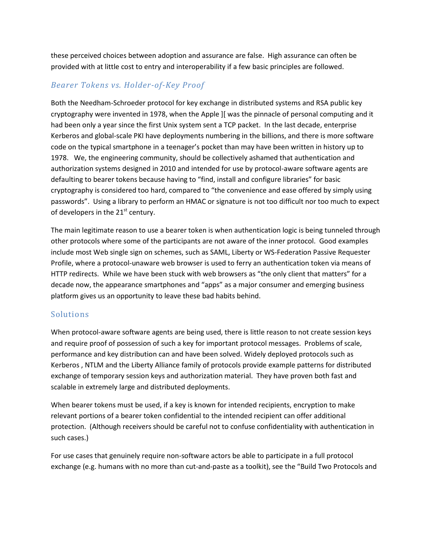these perceived choices between adoption and assurance are false. High assurance can often be provided with at little cost to entry and interoperability if a few basic principles are followed.

### *Bearer Tokens vs. Holder-of-Key Proof*

Both the Needham-Schroeder protocol for key exchange in distributed systems and RSA public key cryptography were invented in 1978, when the Apple ][ was the pinnacle of personal computing and it had been only a year since the first Unix system sent a TCP packet. In the last decade, enterprise Kerberos and global-scale PKI have deployments numbering in the billions, and there is more software code on the typical smartphone in a teenager's pocket than may have been written in history up to 1978. We, the engineering community, should be collectively ashamed that authentication and authorization systems designed in 2010 and intended for use by protocol-aware software agents are defaulting to bearer tokens because having to "find, install and configure libraries" for basic cryptography is considered too hard, compared to "the convenience and ease offered by simply using passwords". Using a library to perform an HMAC or signature is not too difficult nor too much to expect of developers in the  $21<sup>st</sup>$  century.

The main legitimate reason to use a bearer token is when authentication logic is being tunneled through other protocols where some of the participants are not aware of the inner protocol. Good examples include most Web single sign on schemes, such as SAML, Liberty or WS-Federation Passive Requester Profile, where a protocol-unaware web browser is used to ferry an authentication token via means of HTTP redirects. While we have been stuck with web browsers as "the only client that matters" for a decade now, the appearance smartphones and "apps" as a major consumer and emerging business platform gives us an opportunity to leave these bad habits behind.

#### Solutions

When protocol-aware software agents are being used, there is little reason to not create session keys and require proof of possession of such a key for important protocol messages. Problems of scale, performance and key distribution can and have been solved. Widely deployed protocols such as Kerberos , NTLM and the Liberty Alliance family of protocols provide example patterns for distributed exchange of temporary session keys and authorization material. They have proven both fast and scalable in extremely large and distributed deployments.

When bearer tokens must be used, if a key is known for intended recipients, encryption to make relevant portions of a bearer token confidential to the intended recipient can offer additional protection. (Although receivers should be careful not to confuse confidentiality with authentication in such cases.)

For use cases that genuinely require non-software actors be able to participate in a full protocol exchange (e.g. humans with no more than cut-and-paste as a toolkit), see the "Build Two Protocols and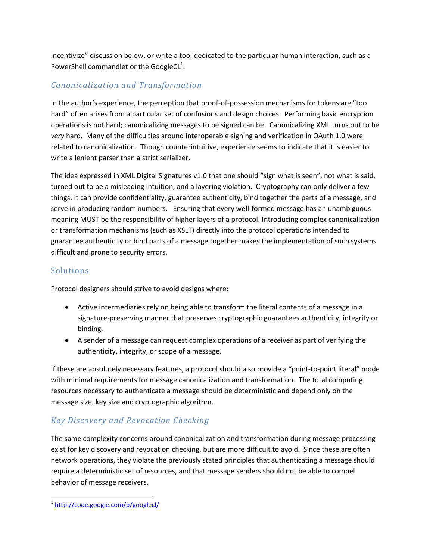Incentivize" discussion below, or write a tool dedicated to the particular human interaction, such as a PowerShell commandlet or the GoogleCL<sup>1</sup>.

## *Canonicalization and Transformation*

In the author's experience, the perception that proof-of-possession mechanisms for tokens are "too hard" often arises from a particular set of confusions and design choices. Performing basic encryption operations is not hard; canonicalizing messages to be signed can be. Canonicalizing XML turns out to be *very* hard. Many of the difficulties around interoperable signing and verification in OAuth 1.0 were related to canonicalization. Though counterintuitive, experience seems to indicate that it is easier to write a lenient parser than a strict serializer.

The idea expressed in XML Digital Signatures v1.0 that one should "sign what is seen", not what is said, turned out to be a misleading intuition, and a layering violation. Cryptography can only deliver a few things: it can provide confidentiality, guarantee authenticity, bind together the parts of a message, and serve in producing random numbers. Ensuring that every well-formed message has an unambiguous meaning MUST be the responsibility of higher layers of a protocol. Introducing complex canonicalization or transformation mechanisms (such as XSLT) directly into the protocol operations intended to guarantee authenticity or bind parts of a message together makes the implementation of such systems difficult and prone to security errors.

## Solutions

Protocol designers should strive to avoid designs where:

- Active intermediaries rely on being able to transform the literal contents of a message in a signature-preserving manner that preserves cryptographic guarantees authenticity, integrity or binding.
- A sender of a message can request complex operations of a receiver as part of verifying the authenticity, integrity, or scope of a message.

If these are absolutely necessary features, a protocol should also provide a "point-to-point literal" mode with minimal requirements for message canonicalization and transformation. The total computing resources necessary to authenticate a message should be deterministic and depend only on the message size, key size and cryptographic algorithm.

## *Key Discovery and Revocation Checking*

The same complexity concerns around canonicalization and transformation during message processing exist for key discovery and revocation checking, but are more difficult to avoid. Since these are often network operations, they violate the previously stated principles that authenticating a message should require a deterministic set of resources, and that message senders should not be able to compel behavior of message receivers.

 $\overline{\phantom{a}}$ <sup>1</sup> <http://code.google.com/p/googlecl/>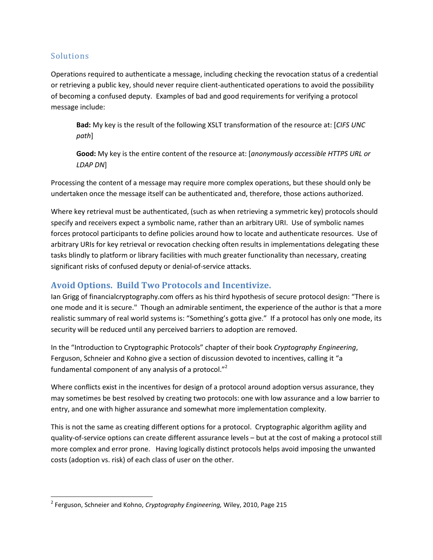#### Solutions

 $\overline{\phantom{a}}$ 

Operations required to authenticate a message, including checking the revocation status of a credential or retrieving a public key, should never require client-authenticated operations to avoid the possibility of becoming a confused deputy. Examples of bad and good requirements for verifying a protocol message include:

**Bad:** My key is the result of the following XSLT transformation of the resource at: [*CIFS UNC path*]

**Good:** My key is the entire content of the resource at: [*anonymously accessible HTTPS URL or LDAP DN*]

Processing the content of a message may require more complex operations, but these should only be undertaken once the message itself can be authenticated and, therefore, those actions authorized.

Where key retrieval must be authenticated, (such as when retrieving a symmetric key) protocols should specify and receivers expect a symbolic name, rather than an arbitrary URI. Use of symbolic names forces protocol participants to define policies around how to locate and authenticate resources. Use of arbitrary URIs for key retrieval or revocation checking often results in implementations delegating these tasks blindly to platform or library facilities with much greater functionality than necessary, creating significant risks of confused deputy or denial-of-service attacks.

## **Avoid Options. Build Two Protocols and Incentivize.**

Ian Grigg of financialcryptography.com offers as his third hypothesis of secure protocol design: "There is one mode and it is secure." Though an admirable sentiment, the experience of the author is that a more realistic summary of real world systems is: "Something's gotta give." If a protocol has only one mode, its security will be reduced until any perceived barriers to adoption are removed.

In the "Introduction to Cryptographic Protocols" chapter of their book *Cryptography Engineering*, Ferguson, Schneier and Kohno give a section of discussion devoted to incentives, calling it "a fundamental component of any analysis of a protocol."<sup>2</sup>

Where conflicts exist in the incentives for design of a protocol around adoption versus assurance, they may sometimes be best resolved by creating two protocols: one with low assurance and a low barrier to entry, and one with higher assurance and somewhat more implementation complexity.

This is not the same as creating different options for a protocol. Cryptographic algorithm agility and quality-of-service options can create different assurance levels – but at the cost of making a protocol still more complex and error prone. Having logically distinct protocols helps avoid imposing the unwanted costs (adoption vs. risk) of each class of user on the other.

<sup>2</sup> Ferguson, Schneier and Kohno, *Cryptography Engineering,* Wiley, 2010, Page 215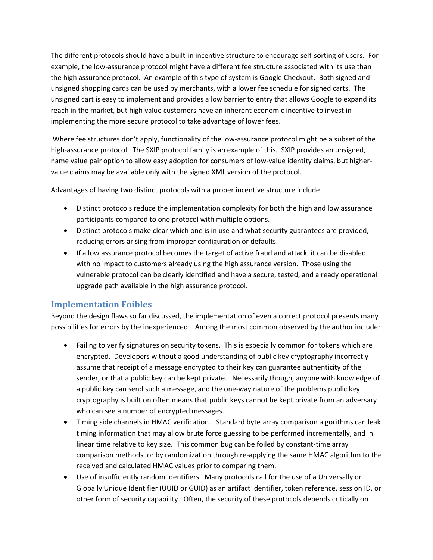The different protocols should have a built-in incentive structure to encourage self-sorting of users. For example, the low-assurance protocol might have a different fee structure associated with its use than the high assurance protocol. An example of this type of system is Google Checkout. Both signed and unsigned shopping cards can be used by merchants, with a lower fee schedule for signed carts. The unsigned cart is easy to implement and provides a low barrier to entry that allows Google to expand its reach in the market, but high value customers have an inherent economic incentive to invest in implementing the more secure protocol to take advantage of lower fees.

Where fee structures don't apply, functionality of the low-assurance protocol might be a subset of the high-assurance protocol. The SXIP protocol family is an example of this. SXIP provides an unsigned, name value pair option to allow easy adoption for consumers of low-value identity claims, but highervalue claims may be available only with the signed XML version of the protocol.

Advantages of having two distinct protocols with a proper incentive structure include:

- Distinct protocols reduce the implementation complexity for both the high and low assurance participants compared to one protocol with multiple options.
- Distinct protocols make clear which one is in use and what security guarantees are provided, reducing errors arising from improper configuration or defaults.
- If a low assurance protocol becomes the target of active fraud and attack, it can be disabled with no impact to customers already using the high assurance version. Those using the vulnerable protocol can be clearly identified and have a secure, tested, and already operational upgrade path available in the high assurance protocol.

## **Implementation Foibles**

Beyond the design flaws so far discussed, the implementation of even a correct protocol presents many possibilities for errors by the inexperienced. Among the most common observed by the author include:

- Failing to verify signatures on security tokens. This is especially common for tokens which are encrypted. Developers without a good understanding of public key cryptography incorrectly assume that receipt of a message encrypted to their key can guarantee authenticity of the sender, or that a public key can be kept private. Necessarily though, anyone with knowledge of a public key can send such a message, and the one-way nature of the problems public key cryptography is built on often means that public keys cannot be kept private from an adversary who can see a number of encrypted messages.
- Timing side channels in HMAC verification. Standard byte array comparison algorithms can leak timing information that may allow brute force guessing to be performed incrementally, and in linear time relative to key size. This common bug can be foiled by constant-time array comparison methods, or by randomization through re-applying the same HMAC algorithm to the received and calculated HMAC values prior to comparing them.
- Use of insufficiently random identifiers. Many protocols call for the use of a Universally or Globally Unique Identifier (UUID or GUID) as an artifact identifier, token reference, session ID, or other form of security capability. Often, the security of these protocols depends critically on